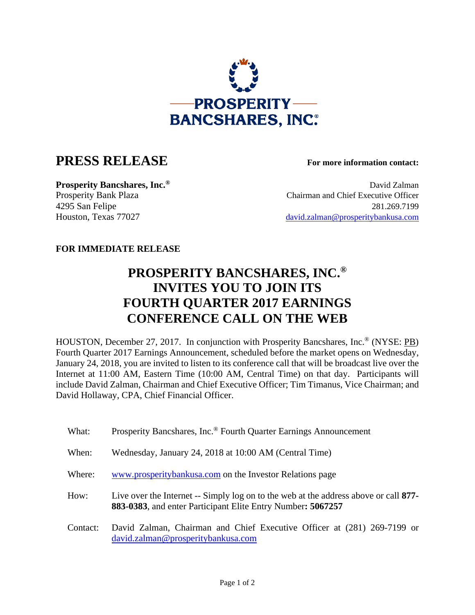

## **PRESS RELEASE For more information contact:**

**Prosperity Bancshares, Inc.<sup>®</sup> David Zalman** Prosperity Bank Plaza Chairman and Chief Executive Officer 4295 San Felipe 281.269.7199 Houston, Texas 77027 david.zalman@prosperitybankusa.com

## **FOR IMMEDIATE RELEASE**

## **PROSPERITY BANCSHARES, INC.® INVITES YOU TO JOIN ITS FOURTH QUARTER 2017 EARNINGS CONFERENCE CALL ON THE WEB**

HOUSTON, December 27, 2017. In conjunction with Prosperity Bancshares, Inc.® (NYSE: PB) Fourth Quarter 2017 Earnings Announcement, scheduled before the market opens on Wednesday, January 24, 2018, you are invited to listen to its conference call that will be broadcast live over the Internet at 11:00 AM, Eastern Time (10:00 AM, Central Time) on that day. Participants will include David Zalman, Chairman and Chief Executive Officer; Tim Timanus, Vice Chairman; and David Hollaway, CPA, Chief Financial Officer.

- What: Prosperity Bancshares, Inc.<sup>®</sup> Fourth Quarter Earnings Announcement
- When: Wednesday, January 24, 2018 at 10:00 AM (Central Time)
- Where: www.prosperitybankusa.com on the Investor Relations page
- How: Live over the Internet -- Simply log on to the web at the address above or call **877- 883-0383**, and enter Participant Elite Entry Number**: 5067257**
- Contact: David Zalman, Chairman and Chief Executive Officer at (281) 269-7199 or david.zalman@prosperitybankusa.com